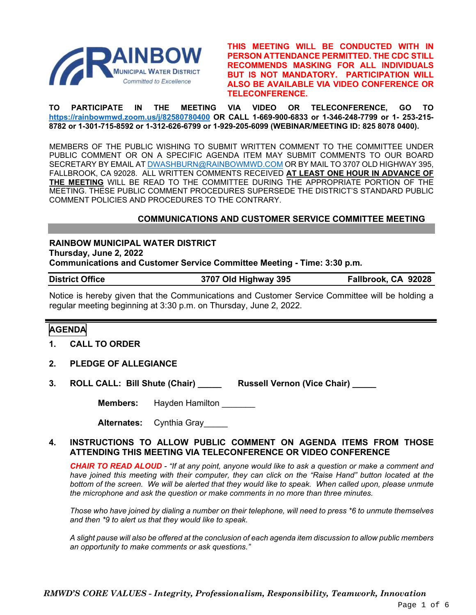

**THIS MEETING WILL BE CONDUCTED WITH IN PERSON ATTENDANCE PERMITTED. THE CDC STILL RECOMMENDS MASKING FOR ALL INDIVIDUALS BUT IS NOT MANDATORY. PARTICIPATION WILL ALSO BE AVAILABLE VIA VIDEO CONFERENCE OR TELECONFERENCE.**

**TO PARTICIPATE IN THE MEETING VIA VIDEO OR TELECONFERENCE, GO TO <https://rainbowmwd.zoom.us/j/82580780400> OR CALL 1-669-900-6833 or 1-346-248-7799 or 1- 253-215- 8782 or 1-301-715-8592 or 1-312-626-6799 or 1-929-205-6099 (WEBINAR/MEETING ID: 825 8078 0400).**

MEMBERS OF THE PUBLIC WISHING TO SUBMIT WRITTEN COMMENT TO THE COMMITTEE UNDER PUBLIC COMMENT OR ON A SPECIFIC AGENDA ITEM MAY SUBMIT COMMENTS TO OUR BOARD SECRETARY BY EMAIL A[T DWASHBURN@RAINBOWMWD.COM](mailto:DWASHBURN@RAINBOWMWD.COM) OR BY MAIL TO 3707 OLD HIGHWAY 395, FALLBROOK, CA 92028. ALL WRITTEN COMMENTS RECEIVED **AT LEAST ONE HOUR IN ADVANCE OF THE MEETING** WILL BE READ TO THE COMMITTEE DURING THE APPROPRIATE PORTION OF THE MEETING. THESE PUBLIC COMMENT PROCEDURES SUPERSEDE THE DISTRICT'S STANDARD PUBLIC COMMENT POLICIES AND PROCEDURES TO THE CONTRARY.

#### **COMMUNICATIONS AND CUSTOMER SERVICE COMMITTEE MEETING**

#### **RAINBOW MUNICIPAL WATER DISTRICT Thursday, June 2, 2022**

**Communications and Customer Service Committee Meeting - Time: 3:30 p.m.**

| <b>District Office</b> | 3707 Old Highway 395 | Fallbrook, CA 92028 |
|------------------------|----------------------|---------------------|
|------------------------|----------------------|---------------------|

Notice is hereby given that the Communications and Customer Service Committee will be holding a regular meeting beginning at 3:30 p.m. on Thursday, June 2, 2022.

#### **AGENDA**

- **1. CALL TO ORDER**
- **2. PLEDGE OF ALLEGIANCE**
- **3. ROLL CALL: Bill Shute (Chair) \_\_\_\_\_ Russell Vernon (Vice Chair) \_\_\_\_\_**

**Members:** Hayden Hamilton

| <b>Alternates:</b> | Cynthia Gray |  |
|--------------------|--------------|--|
|--------------------|--------------|--|

#### **4. INSTRUCTIONS TO ALLOW PUBLIC COMMENT ON AGENDA ITEMS FROM THOSE ATTENDING THIS MEETING VIA TELECONFERENCE OR VIDEO CONFERENCE**

*CHAIR TO READ ALOUD - "If at any point, anyone would like to ask a question or make a comment and have joined this meeting with their computer, they can click on the "Raise Hand" button located at the bottom of the screen. We will be alerted that they would like to speak. When called upon, please unmute the microphone and ask the question or make comments in no more than three minutes.*

*Those who have joined by dialing a number on their telephone, will need to press \*6 to unmute themselves and then \*9 to alert us that they would like to speak.*

*A slight pause will also be offered at the conclusion of each agenda item discussion to allow public members an opportunity to make comments or ask questions."*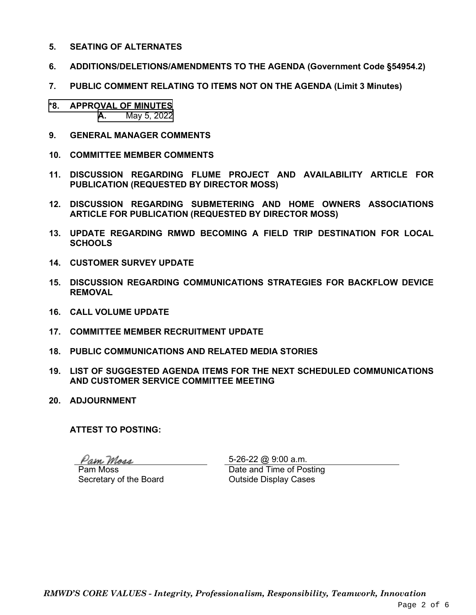- **5. SEATING OF ALTERNATES**
- **6. ADDITIONS/DELETIONS/AMENDMENTS TO THE AGENDA (Government Code §54954.2)**
- **7. PUBLIC COMMENT RELATING TO ITEMS NOT ON THE AGENDA (Limit 3 Minutes)**
- **\*8. APPROVAL OF MINUTES A.** May 5, 2022
- **9. GENERAL MANAGER COMMENTS**
- **10. COMMITTEE MEMBER COMMENTS**
- **11. DISCUSSION REGARDING FLUME PROJECT AND AVAILABILITY ARTICLE FOR PUBLICATION (REQUESTED BY DIRECTOR MOSS)**
- **12. DISCUSSION REGARDING SUBMETERING AND HOME OWNERS ASSOCIATIONS ARTICLE FOR PUBLICATION (REQUESTED BY DIRECTOR MOSS)**
- **13. UPDATE REGARDING RMWD BECOMING A FIELD TRIP DESTINATION FOR LOCAL SCHOOLS**
- **14. CUSTOMER SURVEY UPDATE**
- **15. DISCUSSION REGARDING COMMUNICATIONS STRATEGIES FOR BACKFLOW DEVICE REMOVAL**
- **16. CALL VOLUME UPDATE**
- **17. COMMITTEE MEMBER RECRUITMENT UPDATE**
- **18. PUBLIC COMMUNICATIONS AND RELATED MEDIA STORIES**
- **19. LIST OF SUGGESTED AGENDA ITEMS FOR THE NEXT SCHEDULED COMMUNICATIONS AND CUSTOMER SERVICE COMMITTEE MEETING**
- **20. ADJOURNMENT**

**ATTEST TO POSTING:**

Pam Mosa Pam Moss Secretary of the Board 5-26-22 @ 9:00 a.m. Date and Time of Posting Outside Display Cases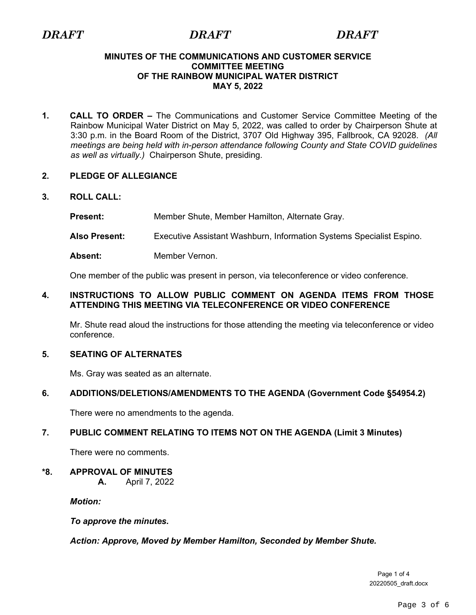#### **MINUTES OF THE COMMUNICATIONS AND CUSTOMER SERVICE COMMITTEE MEETING OF THE RAINBOW MUNICIPAL WATER DISTRICT MAY 5, 2022**

**1. CALL TO ORDER –** The Communications and Customer Service Committee Meeting of the Rainbow Municipal Water District on May 5, 2022, was called to order by Chairperson Shute at 3:30 p.m. in the Board Room of the District, 3707 Old Highway 395, Fallbrook, CA 92028. *(All meetings are being held with in-person attendance following County and State COVID guidelines as well as virtually.)* Chairperson Shute, presiding.

#### **2. PLEDGE OF ALLEGIANCE**

### **3. ROLL CALL:**

**Present:** Member Shute, Member Hamilton, Alternate Gray.

**Also Present:** Executive Assistant Washburn, Information Systems Specialist Espino.

Absent: Member Vernon.

One member of the public was present in person, via teleconference or video conference.

#### **4. INSTRUCTIONS TO ALLOW PUBLIC COMMENT ON AGENDA ITEMS FROM THOSE ATTENDING THIS MEETING VIA TELECONFERENCE OR VIDEO CONFERENCE**

Mr. Shute read aloud the instructions for those attending the meeting via teleconference or video conference.

#### **5. SEATING OF ALTERNATES**

Ms. Gray was seated as an alternate.

#### **6. ADDITIONS/DELETIONS/AMENDMENTS TO THE AGENDA (Government Code §54954.2)**

There were no amendments to the agenda.

### **7. PUBLIC COMMENT RELATING TO ITEMS NOT ON THE AGENDA (Limit 3 Minutes)**

There were no comments.

**\*8. APPROVAL OF MINUTES**

**A.** April 7, 2022

*Motion:* 

*To approve the minutes.*

*Action: Approve, Moved by Member Hamilton, Seconded by Member Shute.*

Page 1 of 4 20220505\_draft.docx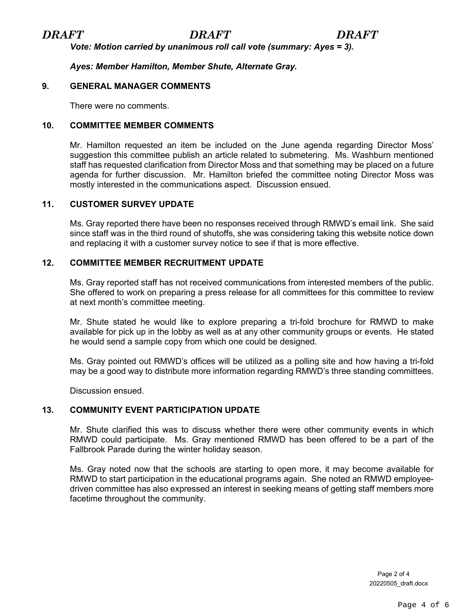# *DRAFT DRAFT DRAFT*

*Vote: Motion carried by unanimous roll call vote (summary: Ayes = 3).*

*Ayes: Member Hamilton, Member Shute, Alternate Gray.*

#### **9. GENERAL MANAGER COMMENTS**

There were no comments.

#### **10. COMMITTEE MEMBER COMMENTS**

Mr. Hamilton requested an item be included on the June agenda regarding Director Moss' suggestion this committee publish an article related to submetering. Ms. Washburn mentioned staff has requested clarification from Director Moss and that something may be placed on a future agenda for further discussion. Mr. Hamilton briefed the committee noting Director Moss was mostly interested in the communications aspect. Discussion ensued.

#### **11. CUSTOMER SURVEY UPDATE**

Ms. Gray reported there have been no responses received through RMWD's email link. She said since staff was in the third round of shutoffs, she was considering taking this website notice down and replacing it with a customer survey notice to see if that is more effective.

#### **12. COMMITTEE MEMBER RECRUITMENT UPDATE**

Ms. Gray reported staff has not received communications from interested members of the public. She offered to work on preparing a press release for all committees for this committee to review at next month's committee meeting.

Mr. Shute stated he would like to explore preparing a tri-fold brochure for RMWD to make available for pick up in the lobby as well as at any other community groups or events. He stated he would send a sample copy from which one could be designed.

Ms. Gray pointed out RMWD's offices will be utilized as a polling site and how having a tri-fold may be a good way to distribute more information regarding RMWD's three standing committees.

Discussion ensued.

#### **13. COMMUNITY EVENT PARTICIPATION UPDATE**

Mr. Shute clarified this was to discuss whether there were other community events in which RMWD could participate. Ms. Gray mentioned RMWD has been offered to be a part of the Fallbrook Parade during the winter holiday season.

Ms. Gray noted now that the schools are starting to open more, it may become available for RMWD to start participation in the educational programs again. She noted an RMWD employeedriven committee has also expressed an interest in seeking means of getting staff members more facetime throughout the community.

> Page 2 of 4 20220505\_draft.docx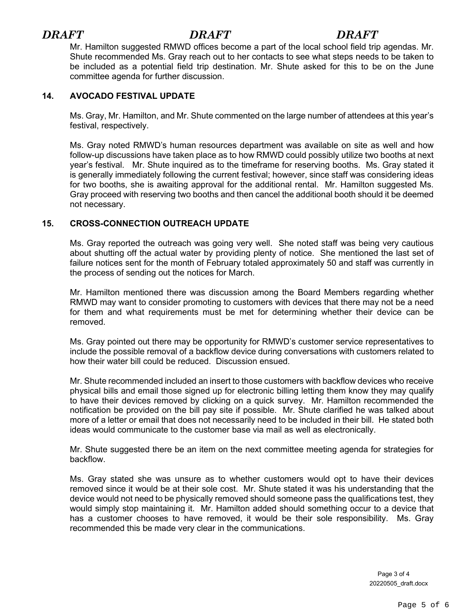## *DRAFT DRAFT DRAFT*

Mr. Hamilton suggested RMWD offices become a part of the local school field trip agendas. Mr. Shute recommended Ms. Gray reach out to her contacts to see what steps needs to be taken to be included as a potential field trip destination. Mr. Shute asked for this to be on the June committee agenda for further discussion.

### **14. AVOCADO FESTIVAL UPDATE**

Ms. Gray, Mr. Hamilton, and Mr. Shute commented on the large number of attendees at this year's festival, respectively.

Ms. Gray noted RMWD's human resources department was available on site as well and how follow-up discussions have taken place as to how RMWD could possibly utilize two booths at next year's festival. Mr. Shute inquired as to the timeframe for reserving booths. Ms. Gray stated it is generally immediately following the current festival; however, since staff was considering ideas for two booths, she is awaiting approval for the additional rental. Mr. Hamilton suggested Ms. Gray proceed with reserving two booths and then cancel the additional booth should it be deemed not necessary.

#### **15. CROSS-CONNECTION OUTREACH UPDATE**

Ms. Gray reported the outreach was going very well. She noted staff was being very cautious about shutting off the actual water by providing plenty of notice. She mentioned the last set of failure notices sent for the month of February totaled approximately 50 and staff was currently in the process of sending out the notices for March.

Mr. Hamilton mentioned there was discussion among the Board Members regarding whether RMWD may want to consider promoting to customers with devices that there may not be a need for them and what requirements must be met for determining whether their device can be removed.

Ms. Gray pointed out there may be opportunity for RMWD's customer service representatives to include the possible removal of a backflow device during conversations with customers related to how their water bill could be reduced. Discussion ensued.

Mr. Shute recommended included an insert to those customers with backflow devices who receive physical bills and email those signed up for electronic billing letting them know they may qualify to have their devices removed by clicking on a quick survey. Mr. Hamilton recommended the notification be provided on the bill pay site if possible. Mr. Shute clarified he was talked about more of a letter or email that does not necessarily need to be included in their bill. He stated both ideas would communicate to the customer base via mail as well as electronically.

Mr. Shute suggested there be an item on the next committee meeting agenda for strategies for backflow.

Ms. Gray stated she was unsure as to whether customers would opt to have their devices removed since it would be at their sole cost. Mr. Shute stated it was his understanding that the device would not need to be physically removed should someone pass the qualifications test, they would simply stop maintaining it. Mr. Hamilton added should something occur to a device that has a customer chooses to have removed, it would be their sole responsibility. Ms. Gray recommended this be made very clear in the communications.

> Page 3 of 4 20220505\_draft.docx